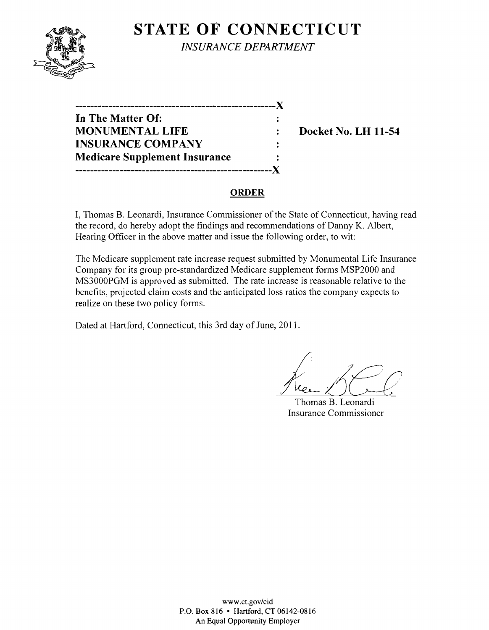

**STATE OF CONNECTICUT** *INSURANCE DEPARTMENT* 

| ------------                         |  |
|--------------------------------------|--|
| In The Matter Of:                    |  |
| <b>MONUMENTAL LIFE</b>               |  |
| <b>INSURANCE COMPANY</b>             |  |
| <b>Medicare Supplement Insurance</b> |  |
| ,,,,,,,,,,,,,,,,,,,,,,,,,,,,,,,      |  |
|                                      |  |

**Docket No. LH 11-54** 

## **ORDER**

I, Thomas B. Leonardi, Insurance Commissioner of the State of Connecticut, having read the record, do hereby adopt the findings and recommendations of Danny K. Albert, Hearing Officer in the above matter and issue the following order, to wit:

The Medicare supplement rate increase request submitted by Monumental Life Insurance Company for its group pre-standardized Medicare supplement forms MSP2000 and MS3000PGM is approved as submitted. The rate increase is reasonable relative to the benefits, projected claim costs and the anticipated loss ratios the company expects to realize on these two policy forms.

Dated at Hartford, Connecticut, this 3rd day of June, 2011.

Thomas B. Leonardi Insurance Commissioner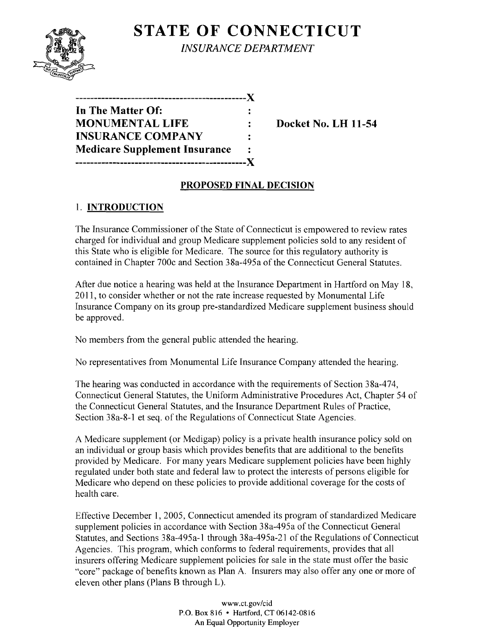

**STATE OF CONNECTICUT** *INSURANCE DEPARTMENT* 

| -----------------------              |                |
|--------------------------------------|----------------|
| In The Matter Of:                    |                |
| <b>MONUMENTAL LIFE</b>               |                |
| <b>INSURANCE COMPANY</b>             | $\ddot{\cdot}$ |
| <b>Medicare Supplement Insurance</b> |                |
| ----------------------               |                |

**WEDOCKET NO. LH 11-54** 

## **PROPOSED FINAL DECISION**

# 1. **INTRODUCTION**

The Insurance Commissioner of the State of Connecticut is empowered to review rates charged for individual and group Medicare supplement policies sold to any resident of this State who is eligible for Medicare. The source for this regulatory authority is contained in Chapter 700c and Section 38a-495a of the Connecticut General Statutes.

After due notice a hearing was held at the Insurance Department in Hartford on May 18, 2011, to consider whether or not the rate increase requested by Monumental Life Insurance Company on its group pre-standardized Medicare supplement business should be approved.

No members from the general public attended the hearing.

No representatives from Monumental Life Insurance Company attended the hearing.

The hearing was conducted in accordance with the requirements of Section 38a-474, Connecticut General Statutes, the Uniform Administrative Procedures Act, Chapter 54 of the Connecticut General Statutes, and the Insurance Department Rules of Practice, Section 38a-8-1 et seq. of the Regulations of Connecticut State Agencies.

A Medicare supplement (or Medigap) policy is a private health insurance policy sold on an individual or group basis which provides benefits that are additional to the benefits provided by Medicare. For many years Medicare supplement policies have been highly regulated under both state and federal law to protect the interests of persons eligible for Medicare who depend on these policies to provide additional coverage for the costs of health care.

Effective December 1,2005, Connecticut amended its program of standardized Medicare supplement policies in accordance with Section 38a-495a of the Connecticut General Statutes, and Sections 38a-495a-l through 38a-495a-21 of the Regulations of Connecticut Agencies. This program, which conforms to federal requirements, provides that all insurers offering Medicare supplement policies for sale in the state must offer the basic "core" package of benefits known as Plan A. Insurers may also offer anyone or more of eleven other plans (Plans B through L).

> www.ct.gov/cid P.O. Box 816 • Hartford, CT 06142-0816 An Equal Opportunity Employer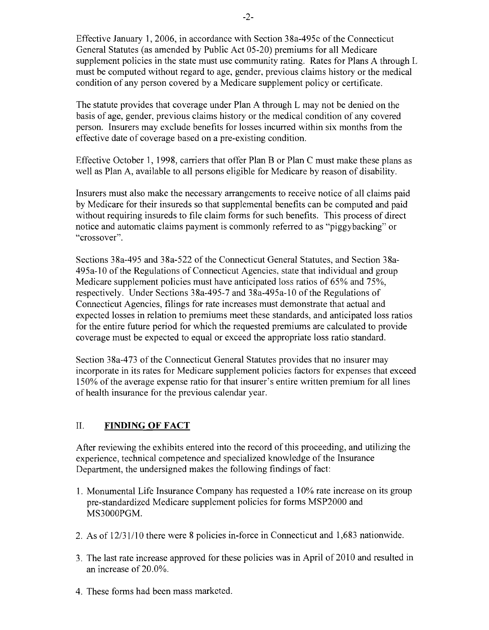Effective January 1,2006, in accordance with Section 38a-495c of the Connecticut General Statutes (as amended by Public Act 05-20) premiums for all Medicare supplement policies in the state must use community rating. Rates for Plans A through L must be computed without regard to age, gender, previous claims history or the medical condition of any person covered by a Medicare supplement policy or certificate.

The statute provides that coverage under Plan A through L may not be denied on the basis of age, gender, previous claims history or the medical condition of any covered person. Insurers may exclude benefits for losses incurred within six months from the effective date of coverage based on a pre-existing condition.

Effective October 1, 1998, carriers that offer Plan B or Plan C must make these plans as well as Plan A, available to all persons eligible for Medicare by reason of disability.

Insurers must also make the necessary arrangements to receive notice of all claims paid by Medicare for their insureds so that supplemental benefits can be computed and paid without requiring insureds to file claim forms for such benefits. This process of direct notice and automatic claims payment is commonly referred to as "piggybacking" or "crossover".

Sections 38a-495 and 38a-522 of the Connecticut General Statutes, and Section 38a-495a-10 of the Regulations of Connecticut Agencies, state that individual and group Medicare supplement policies must have anticipated loss ratios of 65% and 75%, respectively. Under Sections 38a-495-7 and 38a-495a-10 of the Regulations of Connecticut Agencies, filings for rate increases must demonstrate that actual and expected losses in relation to premiums meet these standards, and anticipated loss ratios for the entire future period for which the requested premiums are calculated to provide coverage must be expected to equal or exceed the appropriate loss ratio standard.

Section 38a-473 of the Connecticut General Statutes provides that no insurer may incorporate in its rates for Medicare supplement policies factors for expenses that exceed 150% of the average expense ratio for that insurer's entire written premium for all lines of health insurance for the previous calendar year.

### II. **FINDING OF FACT**

After reviewing the exhibits entered into the record of this proceeding, and utilizing the experience, technical competence and specialized knowledge of the Insurance Department, the undersigned makes the following findings of fact:

- 1. Monumental Life Insurance Company has requested a 10% rate increase on its group pre-standardized Medicare supplement policies for forms MSP2000 and MS3000PGM.
- 2. As of  $12/31/10$  there were 8 policies in-force in Connecticut and 1,683 nationwide.
- 3. The last rate increase approved for these policies was in April of 2010 and resulted in an increase of 20.0%.
- 4. These forms had been mass marketed.